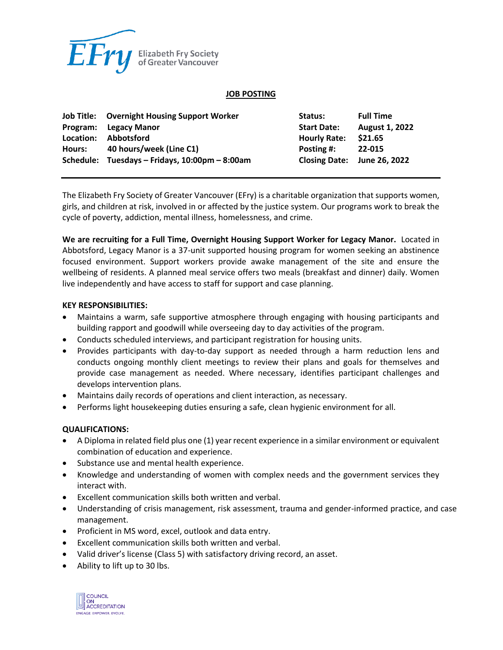

#### **JOB POSTING**

|           | <b>Job Title:</b> Overnight Housing Support Worker | Status:             | <b>Full Time</b>            |
|-----------|----------------------------------------------------|---------------------|-----------------------------|
| Program:  | Legacy Manor                                       | <b>Start Date:</b>  | <b>August 1, 2022</b>       |
| Location: | <b>Abbotsford</b>                                  | <b>Hourly Rate:</b> | \$21.65                     |
| Hours:    | 40 hours/week (Line C1)                            | Posting #:          | 22-015                      |
|           | Schedule: Tuesdays - Fridays, 10:00pm - 8:00am     |                     | Closing Date: June 26, 2022 |

The Elizabeth Fry Society of Greater Vancouver (EFry) is a charitable organization that supports women, girls, and children at risk, involved in or affected by the justice system. Our programs work to break the cycle of poverty, addiction, mental illness, homelessness, and crime.

**We are recruiting for a Full Time, Overnight Housing Support Worker for Legacy Manor.** Located in Abbotsford, Legacy Manor is a 37-unit supported housing program for women seeking an abstinence focused environment. Support workers provide awake management of the site and ensure the wellbeing of residents. A planned meal service offers two meals (breakfast and dinner) daily. Women live independently and have access to staff for support and case planning.

#### **KEY RESPONSIBILITIES:**

- Maintains a warm, safe supportive atmosphere through engaging with housing participants and building rapport and goodwill while overseeing day to day activities of the program.
- Conducts scheduled interviews, and participant registration for housing units.
- Provides participants with day-to-day support as needed through a harm reduction lens and conducts ongoing monthly client meetings to review their plans and goals for themselves and provide case management as needed. Where necessary, identifies participant challenges and develops intervention plans.
- Maintains daily records of operations and client interaction, as necessary.
- Performs light housekeeping duties ensuring a safe, clean hygienic environment for all.

### **QUALIFICATIONS:**

- A Diploma in related field plus one (1) year recent experience in a similar environment or equivalent combination of education and experience.
- Substance use and mental health experience.
- Knowledge and understanding of women with complex needs and the government services they interact with.
- Excellent communication skills both written and verbal.
- Understanding of crisis management, risk assessment, trauma and gender-informed practice, and case management.
- Proficient in MS word, excel, outlook and data entry.
- Excellent communication skills both written and verbal.
- Valid driver's license (Class 5) with satisfactory driving record, an asset.
- Ability to lift up to 30 lbs.